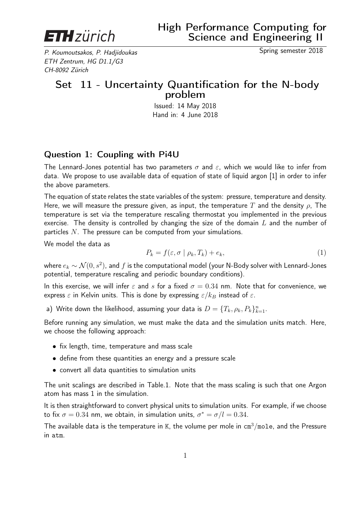

P. Koumoutsakos, P. Hadjidoukas Spring semester 2018 ETH Zentrum, HG D1.1/G3 CH-8092 Zürich

## Set 11 - Uncertainty Quantification for the N-body problem

Issued: 14 May 2018 Hand in: 4 June 2018

## Question 1: Coupling with Pi4U

The Lennard-Jones potential has two parameters  $\sigma$  and  $\varepsilon$ , which we would like to infer from data. We propose to use available data of equation of state of liquid argon [1] in order to infer the above parameters.

The equation of state relates the state variables of the system: pressure, temperature and density. Here, we will measure the pressure given, as input, the temperature T and the density  $\rho$ , The temperature is set via the temperature rescaling thermostat you implemented in the previous exercise. The density is controlled by changing the size of the domain  $L$  and the number of particles  $N$ . The pressure can be computed from your simulations.

We model the data as

$$
P_k = f(\varepsilon, \sigma \mid \rho_k, T_k) + e_k,\tag{1}
$$

where  $e_k \thicksim \mathcal{N}(0,s^2)$ , and  $f$  is the computational model (your N-Body solver with Lennard-Jones potential, temperature rescaling and periodic boundary conditions).

In this exercise, we will infer  $\varepsilon$  and s for a fixed  $\sigma = 0.34$  nm. Note that for convenience, we express  $\varepsilon$  in Kelvin units. This is done by expressing  $\varepsilon/k_B$  instead of  $\varepsilon$ .

a) Write down the likelihood, assuming your data is  $D = \{T_k, \rho_k, P_k\}_{k=1}^n$ .

Before running any simulation, we must make the data and the simulation units match. Here, we choose the following approach:

- fix length, time, temperature and mass scale
- define from these quantities an energy and a pressure scale
- convert all data quantities to simulation units

The unit scalings are described in Table.1. Note that the mass scaling is such that one Argon atom has mass 1 in the simulation.

It is then straightforward to convert physical units to simulation units. For example, if we choose to fix  $\sigma = 0.34$  nm, we obtain, in simulation units,  $\sigma^* = \sigma/l = 0.34$ .

The available data is the temperature in K, the volume per mole in  $\text{cm}^3/\text{mole}$ , and the Pressure in atm.